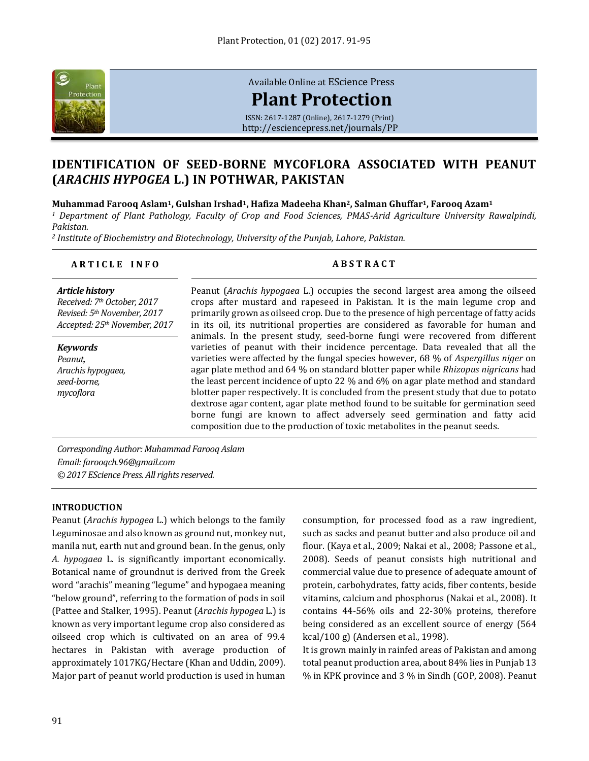

[Available Online at](http://esciencepress.net/journals/PP) EScience Press

# **[Plant Protection](http://esciencepress.net/journals/PP)**

ISSN: 2617-1287 (Online), 2617-1279 (Print) <http://esciencepress.net/journals/PP>

# **IDENTIFICATION OF SEED-BORNE MYCOFLORA ASSOCIATED WITH PEANUT (***ARACHIS HYPOGEA* **L.) IN POTHWAR, PAKISTAN**

# **Muhammad Farooq Aslam1, Gulshan Irshad1, Hafiza Madeeha Khan2, Salman Ghuffar1, Farooq Azam<sup>1</sup>**

*<sup>1</sup> Department of Plant Pathology, Faculty of Crop and Food Sciences, PMAS-Arid Agriculture University Rawalpindi, Pakistan.*

*<sup>2</sup> Institute of Biochemistry and Biotechnology, University of the Punjab, Lahore, Pakistan.*

## **A R T I C L E I N F O A B S T R A C T**

### *Article history Received: 7th October, 2017*

*Revised: 5thNovember, 2017 Accepted: 25thNovember, 2017*

*Keywords Peanut, Arachis hypogaea, seed-borne, mycoflora*

Peanut (*Arachis hypogaea* L.) occupies the second largest area among the oilseed crops after mustard and rapeseed in Pakistan. It is the main legume crop and primarily grown as oilseed crop. Due to the presence of high percentage of fatty acids in its oil, its nutritional properties are considered as favorable for human and animals. In the present study, seed-borne fungi were recovered from different varieties of peanut with their incidence percentage. Data revealed that all the varieties were affected by the fungal species however, 68 % of *Aspergillus niger* on agar plate method and 64 % on standard blotter paper while *Rhizopus nigricans* had the least percent incidence of upto 22 % and 6% on agar plate method and standard blotter paper respectively. It is concluded from the present study that due to potato dextrose agar content, agar plate method found to be suitable for germination seed borne fungi are known to affect adversely seed germination and fatty acid composition due to the production of toxic metabolites in the peanut seeds.

*Corresponding Author: Muhammad Farooq Aslam Email: farooqch.96@gmail.com © 2017 EScience Press. All rights reserved.*

# **INTRODUCTION**

Peanut (*Arachis hypogea* L.) which belongs to the family Leguminosae and also known as ground nut, monkey nut, manila nut, earth nut and ground bean. In the genus, only *A. hypogaea* L. is significantly important economically. Botanical name of groundnut is derived from the Greek word "arachis" meaning "legume" and hypogaea meaning "below ground", referring to the formation of pods in soil (Pattee and Stalker, 1995). Peanut (*Arachis hypogea* L.) is known as very important legume crop also considered as oilseed crop which is cultivated on an area of 99.4 hectares in Pakistan with average production of approximately 1017KG/Hectare (Khan and Uddin, 2009). Major part of peanut world production is used in human

consumption, for processed food as a raw ingredient, such as sacks and peanut butter and also produce oil and flour. (Kaya et al., 2009; Nakai et al., 2008; Passone et al., 2008). Seeds of peanut consists high nutritional and commercial value due to presence of adequate amount of protein, carbohydrates, fatty acids, fiber contents, beside vitamins, calcium and phosphorus (Nakai et al., 2008). It contains 44-56% oils and 22-30% proteins, therefore being considered as an excellent source of energy (564 kcal/100 g) (Andersen et al., 1998).

It is grown mainly in rainfed areas of Pakistan and among total peanut production area, about 84% lies in Punjab 13 % in KPK province and 3 % in Sindh (GOP, 2008). Peanut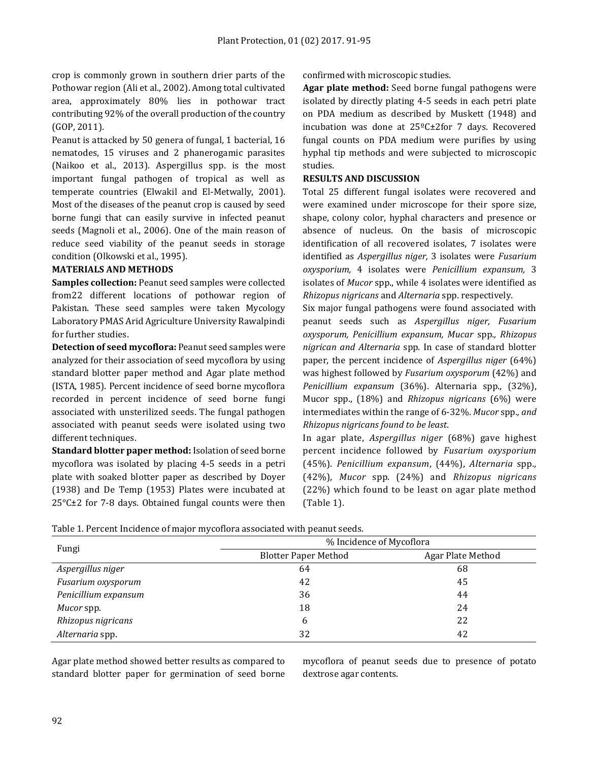crop is commonly grown in southern drier parts of the Pothowar region (Ali et al., 2002). Among total cultivated area, approximately 80% lies in pothowar tract contributing 92% of the overall production of the country (GOP, 2011).

Peanut is attacked by 50 genera of fungal, 1 bacterial, 16 nematodes, 15 viruses and 2 phanerogamic parasites (Naikoo et al., 2013). Aspergillus spp. is the most important fungal pathogen of tropical as well as temperate countries (Elwakil and El-Metwally, 2001). Most of the diseases of the peanut crop is caused by seed borne fungi that can easily survive in infected peanut seeds (Magnoli et al., 2006). One of the main reason of reduce seed viability of the peanut seeds in storage condition (Olkowski et al., 1995).

# **MATERIALS AND METHODS**

**Samples collection:** Peanut seed samples were collected from22 different locations of pothowar region of Pakistan. These seed samples were taken Mycology Laboratory PMAS Arid Agriculture University Rawalpindi for further studies.

**Detection of seed mycoflora:** Peanut seed samples were analyzed for their association of seed mycoflora by using standard blotter paper method and Agar plate method (ISTA, 1985). Percent incidence of seed borne mycoflora recorded in percent incidence of seed borne fungi associated with unsterilized seeds. The fungal pathogen associated with peanut seeds were isolated using two different techniques.

**Standard blotter paper method:** Isolation of seed borne mycoflora was isolated by placing 4-5 seeds in a petri plate with soaked blotter paper as described by Doyer (1938) and De Temp (1953) Plates were incubated at 25°C±2 for 7-8 days. Obtained fungal counts were then

confirmed with microscopic studies.

**Agar plate method:** Seed borne fungal pathogens were isolated by directly plating 4-5 seeds in each petri plate on PDA medium as described by Muskett (1948) and incubation was done at 25ºC±2for 7 days. Recovered fungal counts on PDA medium were purifies by using hyphal tip methods and were subjected to microscopic studies.

# **RESULTS AND DISCUSSION**

Total 25 different fungal isolates were recovered and were examined under microscope for their spore size, shape, colony color, hyphal characters and presence or absence of nucleus. On the basis of microscopic identification of all recovered isolates, 7 isolates were identified as *Aspergillus niger,* 3 isolates were *Fusarium oxysporium,* 4 isolates were *Penicillium expansum,* 3 isolates of *Mucor* spp., while 4 isolates were identified as *Rhizopus nigricans* and *Alternaria* spp. respectively.

Six major fungal pathogens were found associated with peanut seeds such as *Aspergillus niger, Fusarium oxysporum, Penicillium expansum, Mucar* spp.*, Rhizopus nigrican and Alternaria* spp. In case of standard blotter paper, the percent incidence of *Aspergillus niger* (64%) was highest followed by *Fusarium oxysporum* (42%) and *Penicillium expansum* (36%). Alternaria spp., (32%), Mucor spp., (18%) and *Rhizopus nigricans* (6%) were intermediates within the range of 6-32%. *Mucor* spp.*, and Rhizopus nigricans found to be least*.

In agar plate, *Aspergillus niger* (68%) gave highest percent incidence followed by *Fusarium oxysporium*  (45%). *Penicillium expansum*, (44%), *Alternaria* spp.*,*  (42%), *Mucor* spp. (24%) and *Rhizopus nigricans* (22%) which found to be least on agar plate method (Table 1).

| Fungi                | % Incidence of Mycoflora    |                   |
|----------------------|-----------------------------|-------------------|
|                      | <b>Blotter Paper Method</b> | Agar Plate Method |
| Aspergillus niger    | 64                          | 68                |
| Fusarium oxysporum   | 42                          | 45                |
| Penicillium expansum | 36                          | 44                |
| Mucor spp.           | 18                          | 24                |
| Rhizopus nigricans   | 6                           | 22                |
| Alternaria spp.      | 32                          | 42                |

Table 1. Percent Incidence of major mycoflora associated with peanut seeds.

Agar plate method showed better results as compared to standard blotter paper for germination of seed borne mycoflora of peanut seeds due to presence of potato dextrose agar contents.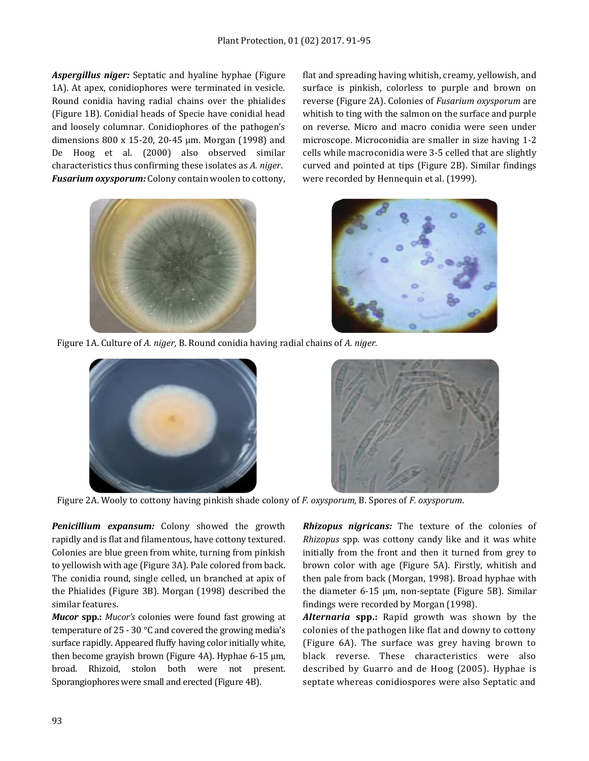*Aspergillus niger:* Septatic and hyaline hyphae (Figure 1A). At apex, conidiophores were terminated in vesicle. Round conidia having radial chains over the phialides (Figure 1B). Conidial heads of Specie have conidial head and loosely columnar. Conidiophores of the pathogen's dimensions 800 x 15-20, 20-45 µm. Morgan (1998) and De Hoog et al. (2000) also observed similar characteristics thus confirming these isolates as *A. niger*. *Fusarium oxysporum:* Colony contain woolen to cottony,



flat and spreading having whitish, creamy, yellowish, and surface is pinkish, colorless to purple and brown on reverse (Figure 2A). Colonies of *Fusarium oxysporum* are whitish to ting with the salmon on the surface and purple on reverse. Micro and macro conidia were seen under microscope. Microconidia are smaller in size having 1-2 cells while macroconidia were 3-5 celled that are slightly curved and pointed at tips (Figure 2B). Similar findings were recorded by Hennequin et al. (1999).



Figure 1A. Culture of *A. niger,* B. Round conidia having radial chains of *A. niger.*





Figure 2A. Wooly to cottony having pinkish shade colony of *F. oxysporum,* B. Spores of *F. oxysporum*.

*Penicillium expansum:* Colony showed the growth rapidly and is flat and filamentous, have cottony textured. Colonies are blue green from white, turning from pinkish to yellowish with age (Figure 3A). Pale colored from back. The conidia round, single celled, un branched at apix of the Phialides (Figure 3B). Morgan (1998) described the similar features.

*Mucor* **spp.:** *Mucor's* colonies were found fast growing at temperature of 25 - 30 °C and covered the growing media's surface rapidly. Appeared fluffy having color initially white, then become grayish brown (Figure 4A). Hyphae 6-15 µm, broad. Rhizoid, stolon both were not present. Sporangiophores were small and erected (Figure 4B).

*Rhizopus nigricans:* The texture of the colonies of *Rhizopus* spp. was cottony candy like and it was white initially from the front and then it turned from grey to brown color with age (Figure 5A). Firstly, whitish and then pale from back (Morgan, 1998). Broad hyphae with the diameter 6-15 µm, non-septate (Figure 5B). Similar findings were recorded by Morgan (1998).

*Alternaria* **spp.:** Rapid growth was shown by the colonies of the pathogen like flat and downy to cottony (Figure 6A). The surface was grey having brown to black reverse. These characteristics were also described by Guarro and de Hoog (2005). Hyphae is septate whereas conidiospores were also Septatic and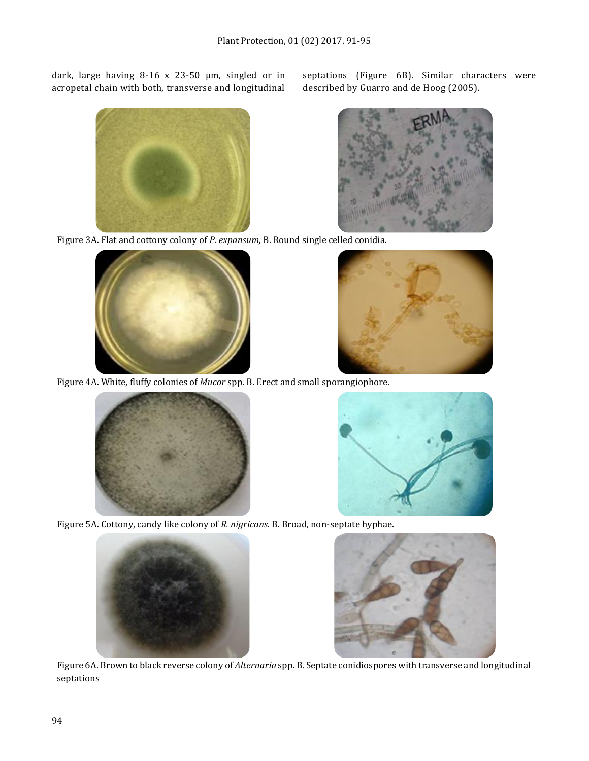dark, large having 8-16 x 23-50 µm, singled or in acropetal chain with both, transverse and longitudinal



septations (Figure 6B). Similar characters were described by Guarro and de Hoog (2005).



Figure 3A. Flat and cottony colony of *P. expansum,* B. Round single celled conidia.





Figure 4A. White, fluffy colonies of *Mucor* spp. B. Erect and small sporangiophore.





Figure 5A. Cottony, candy like colony of *R. nigricans.* B. Broad, non-septate hyphae.





Figure 6A. Brown to black reverse colony of *Alternaria* spp. B. Septate conidiospores with transverse and longitudinal septations